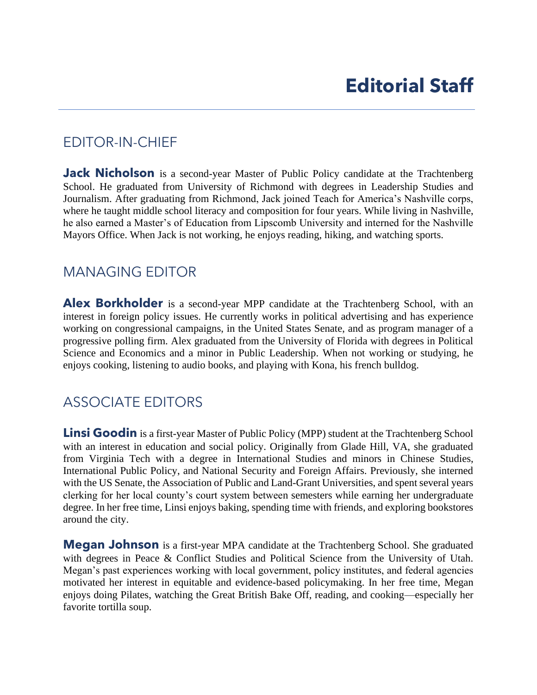## EDITOR-IN-CHIEF

**Jack Nicholson** is a second-year Master of Public Policy candidate at the Trachtenberg Journalism. After graduating from Richmond, Jack joined Teach for America's Nashville corps, he also earned a Master's of Education from Lipscomb University and interned for the Nashville School. He graduated from University of Richmond with degrees in Leadership Studies and where he taught middle school literacy and composition for four years. While living in Nashville, Mayors Office. When Jack is not working, he enjoys reading, hiking, and watching sports.

## MANAGING EDITOR

Alex Borkholder is a second-year MPP candidate at the Trachtenberg School, with an interest in foreign policy issues. He currently works in political advertising and has experience working on congressional campaigns, in the United States Senate, and as program manager of a Science and Economics and a minor in Public Leadership. When not working or studying, he progressive polling firm. Alex graduated from the University of Florida with degrees in Political enjoys cooking, listening to audio books, and playing with Kona, his french bulldog.

## ASSOCIATE EDITORS

 with an interest in education and social policy. Originally from Glade Hill, VA, she graduated from Virginia Tech with a degree in International Studies and minors in Chinese Studies, International Public Policy, and National Security and Foreign Affairs. Previously, she interned clerking for her local county's court system between semesters while earning her undergraduate degree. In her free time, Linsi enjoys baking, spending time with friends, and exploring bookstores **Linsi Goodin** is a first-year Master of Public Policy (MPP) student at the Trachtenberg School with the US Senate, the Association of Public and Land-Grant Universities, and spent several years around the city.

 **Megan Johnson** is a first-year MPA candidate at the Trachtenberg School. She graduated with degrees in Peace & Conflict Studies and Political Science from the University of Utah. Megan's past experiences working with local government, policy institutes, and federal agencies motivated her interest in equitable and evidence-based policymaking. In her free time, Megan enjoys doing Pilates, watching the Great British Bake Off, reading, and cooking—especially her favorite tortilla soup.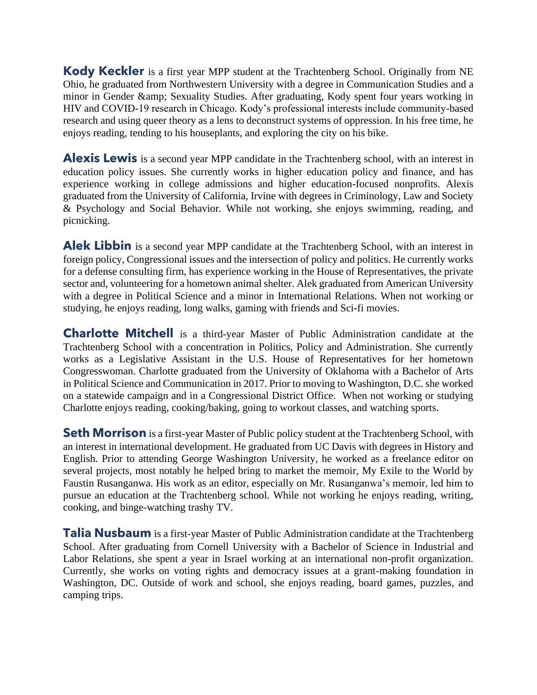**Kody Keckler** is a first year MPP student at the Trachtenberg School. Originally from NE HIV and COVID-19 research in Chicago. Kody's professional interests include community-based research and using queer theory as a lens to deconstruct systems of oppression. In his free time, he Ohio, he graduated from Northwestern University with a degree in Communication Studies and a minor in Gender & amp; Sexuality Studies. After graduating, Kody spent four years working in enjoys reading, tending to his houseplants, and exploring the city on his bike.

Alexis Lewis is a second year MPP candidate in the Trachtenberg school, with an interest in & Psychology and Social Behavior. While not working, she enjoys swimming, reading, and education policy issues. She currently works in higher education policy and finance, and has experience working in college admissions and higher education-focused nonprofits. Alexis graduated from the University of California, Irvine with degrees in Criminology, Law and Society picnicking.

Alek Libbin is a second year MPP candidate at the Trachtenberg School, with an interest in for a defense consulting firm, has experience working in the House of Representatives, the private with a degree in Political Science and a minor in International Relations. When not working or foreign policy, Congressional issues and the intersection of policy and politics. He currently works sector and, volunteering for a hometown animal shelter. Alek graduated from American University studying, he enjoys reading, long walks, gaming with friends and Sci-fi movies.

 Trachtenberg School with a concentration in Politics, Policy and Administration. She currently works as a Legislative Assistant in the U.S. House of Representatives for her hometown Congresswoman. Charlotte graduated from the University of Oklahoma with a Bachelor of Arts in Political Science and Communication in 2017. Prior to moving to Washington, D.C. she worked on a statewide campaign and in a Congressional District Office. When not working or studying **Charlotte Mitchell** is a third-year Master of Public Administration candidate at the Charlotte enjoys reading, cooking/baking, going to workout classes, and watching sports.

**Seth Morrison** is a first-year Master of Public policy student at the Trachtenberg School, with English. Prior to attending George Washington University, he worked as a freelance editor on several projects, most notably he helped bring to market the memoir, My Exile to the World by Faustin Rusanganwa. His work as an editor, especially on Mr. Rusanganwa's memoir, led him to pursue an education at the Trachtenberg school. While not working he enjoys reading, writing, an interest in international development. He graduated from UC Davis with degrees in History and cooking, and binge-watching trashy TV.

 School. After graduating from Cornell University with a Bachelor of Science in Industrial and Labor Relations, she spent a year in Israel working at an international non-profit organization. Washington, DC. Outside of work and school, she enjoys reading, board games, puzzles, and **Talia Nusbaum** is a first-year Master of Public Administration candidate at the Trachtenberg Currently, she works on voting rights and democracy issues at a grant-making foundation in camping trips.